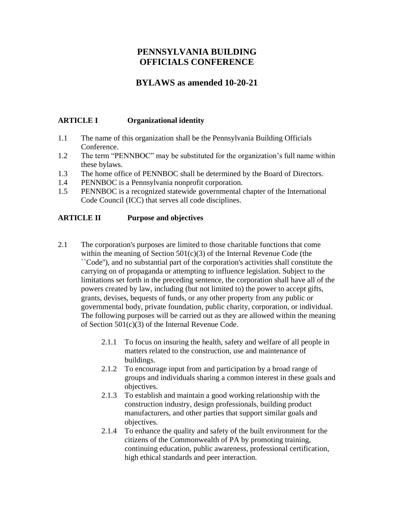# **PENNSYLVANIA BUILDING OFFICIALS CONFERENCE**

# **BYLAWS as amended 10-20-21**

## **ARTICLE I Organizational identity**

- 1.1 The name of this organization shall be the Pennsylvania Building Officials Conference.
- 1.2 The term "PENNBOC" may be substituted for the organization's full name within these bylaws.
- 1.3 The home office of PENNBOC shall be determined by the Board of Directors.
- 1.4 PENNBOC is a Pennsylvania nonprofit corporation.
- 1.5 PENNBOC is a recognized statewide governmental chapter of the International Code Council (ICC) that serves all code disciplines.

## **ARTICLE II Purpose and objectives**

- 2.1 The corporation's purposes are limited to those charitable functions that come within the meaning of Section  $501(c)(3)$  of the Internal Revenue Code (the ``Code''), and no substantial part of the corporation's activities shall constitute the carrying on of propaganda or attempting to influence legislation. Subject to the limitations set forth in the preceding sentence, the corporation shall have all of the powers created by law, including (but not limited to) the power to accept gifts, grants, devises, bequests of funds, or any other property from any public or governmental body, private foundation, public charity, corporation, or individual. The following purposes will be carried out as they are allowed within the meaning of Section 501(c)(3) of the Internal Revenue Code.
	- 2.1.1 To focus on insuring the health, safety and welfare of all people in matters related to the construction, use and maintenance of buildings.
	- 2.1.2 To encourage input from and participation by a broad range of groups and individuals sharing a common interest in these goals and objectives.
	- 2.1.3 To establish and maintain a good working relationship with the construction industry, design professionals, building product manufacturers, and other parties that support similar goals and objectives.
	- 2.1.4 To enhance the quality and safety of the built environment for the citizens of the Commonwealth of PA by promoting training, continuing education, public awareness, professional certification, high ethical standards and peer interaction.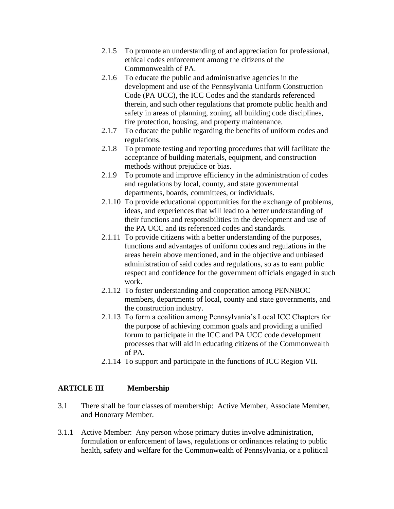- 2.1.5 To promote an understanding of and appreciation for professional, ethical codes enforcement among the citizens of the Commonwealth of PA.
- 2.1.6 To educate the public and administrative agencies in the development and use of the Pennsylvania Uniform Construction Code (PA UCC), the ICC Codes and the standards referenced therein, and such other regulations that promote public health and safety in areas of planning, zoning, all building code disciplines, fire protection, housing, and property maintenance.
- 2.1.7 To educate the public regarding the benefits of uniform codes and regulations.
- 2.1.8 To promote testing and reporting procedures that will facilitate the acceptance of building materials, equipment, and construction methods without prejudice or bias.
- 2.1.9 To promote and improve efficiency in the administration of codes and regulations by local, county, and state governmental departments, boards, committees, or individuals.
- 2.1.10 To provide educational opportunities for the exchange of problems, ideas, and experiences that will lead to a better understanding of their functions and responsibilities in the development and use of the PA UCC and its referenced codes and standards.
- 2.1.11 To provide citizens with a better understanding of the purposes, functions and advantages of uniform codes and regulations in the areas herein above mentioned, and in the objective and unbiased administration of said codes and regulations, so as to earn public respect and confidence for the government officials engaged in such work.
- 2.1.12 To foster understanding and cooperation among PENNBOC members, departments of local, county and state governments, and the construction industry.
- 2.1.13 To form a coalition among Pennsylvania's Local ICC Chapters for the purpose of achieving common goals and providing a unified forum to participate in the ICC and PA UCC code development processes that will aid in educating citizens of the Commonwealth of PA.
- 2.1.14 To support and participate in the functions of ICC Region VII.

## **ARTICLE III Membership**

- 3.1 There shall be four classes of membership: Active Member, Associate Member, and Honorary Member.
- 3.1.1 Active Member: Any person whose primary duties involve administration, formulation or enforcement of laws, regulations or ordinances relating to public health, safety and welfare for the Commonwealth of Pennsylvania, or a political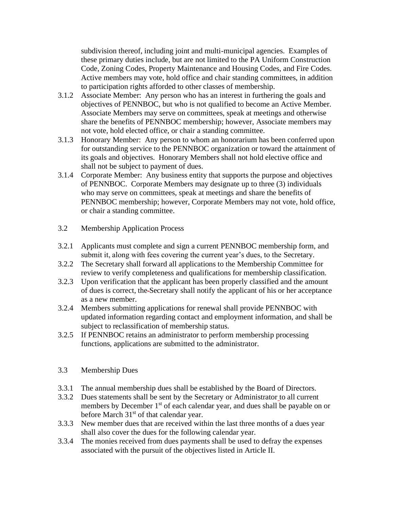subdivision thereof, including joint and multi-municipal agencies. Examples of these primary duties include, but are not limited to the PA Uniform Construction Code, Zoning Codes, Property Maintenance and Housing Codes, and Fire Codes. Active members may vote, hold office and chair standing committees, in addition to participation rights afforded to other classes of membership.

- 3.1.2 Associate Member: Any person who has an interest in furthering the goals and objectives of PENNBOC, but who is not qualified to become an Active Member. Associate Members may serve on committees, speak at meetings and otherwise share the benefits of PENNBOC membership; however, Associate members may not vote, hold elected office, or chair a standing committee.
- 3.1.3 Honorary Member: Any person to whom an honorarium has been conferred upon for outstanding service to the PENNBOC organization or toward the attainment of its goals and objectives. Honorary Members shall not hold elective office and shall not be subject to payment of dues.
- 3.1.4 Corporate Member: Any business entity that supports the purpose and objectives of PENNBOC. Corporate Members may designate up to three (3) individuals who may serve on committees, speak at meetings and share the benefits of PENNBOC membership; however, Corporate Members may not vote, hold office, or chair a standing committee.
- 3.2 Membership Application Process
- 3.2.1 Applicants must complete and sign a current PENNBOC membership form, and submit it, along with fees covering the current year's dues, to the Secretary.
- 3.2.2 The Secretary shall forward all applications to the Membership Committee for review to verify completeness and qualifications for membership classification.
- 3.2.3 Upon verification that the applicant has been properly classified and the amount of dues is correct, the Secretary shall notify the applicant of his or her acceptance as a new member.
- 3.2.4 Members submitting applications for renewal shall provide PENNBOC with updated information regarding contact and employment information, and shall be subject to reclassification of membership status.
- 3.2.5 If PENNBOC retains an administrator to perform membership processing functions, applications are submitted to the administrator.

## 3.3 Membership Dues

- 3.3.1 The annual membership dues shall be established by the Board of Directors.
- 3.3.2 Dues statements shall be sent by the Secretary or Administrator to all current members by December 1<sup>st</sup> of each calendar year, and dues shall be payable on or before March  $31<sup>st</sup>$  of that calendar year.
- 3.3.3 New member dues that are received within the last three months of a dues year shall also cover the dues for the following calendar year.
- 3.3.4 The monies received from dues payments shall be used to defray the expenses associated with the pursuit of the objectives listed in Article II.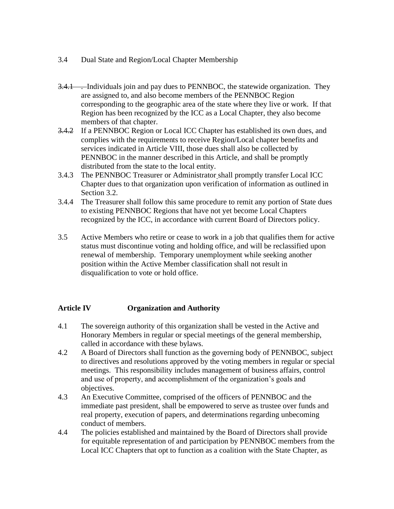- 3.4 Dual State and Region/Local Chapter Membership
- 3.4.1 . Individuals join and pay dues to PENNBOC, the statewide organization. They are assigned to, and also become members of the PENNBOC Region corresponding to the geographic area of the state where they live or work. If that Region has been recognized by the ICC as a Local Chapter, they also become members of that chapter.
- 3.4.2 If a PENNBOC Region or Local ICC Chapter has established its own dues, and complies with the requirements to receive Region/Local chapter benefits and services indicated in Article VIII, those dues shall also be collected by PENNBOC in the manner described in this Article, and shall be promptly distributed from the state to the local entity.
- 3.4.3 The PENNBOC Treasurer or Administrator shall promptly transfer Local ICC Chapter dues to that organization upon verification of information as outlined in Section 3.2.
- 3.4.4 The Treasurer shall follow this same procedure to remit any portion of State dues to existing PENNBOC Regions that have not yet become Local Chapters recognized by the ICC, in accordance with current Board of Directors policy.
- 3.5 Active Members who retire or cease to work in a job that qualifies them for active status must discontinue voting and holding office, and will be reclassified upon renewal of membership. Temporary unemployment while seeking another position within the Active Member classification shall not result in disqualification to vote or hold office.

# **Article IV Organization and Authority**

- 4.1 The sovereign authority of this organization shall be vested in the Active and Honorary Members in regular or special meetings of the general membership, called in accordance with these bylaws.
- 4.2 A Board of Directors shall function as the governing body of PENNBOC, subject to directives and resolutions approved by the voting members in regular or special meetings. This responsibility includes management of business affairs, control and use of property, and accomplishment of the organization's goals and objectives.
- 4.3 An Executive Committee, comprised of the officers of PENNBOC and the immediate past president, shall be empowered to serve as trustee over funds and real property, execution of papers, and determinations regarding unbecoming conduct of members.
- 4.4 The policies established and maintained by the Board of Directors shall provide for equitable representation of and participation by PENNBOC members from the Local ICC Chapters that opt to function as a coalition with the State Chapter, as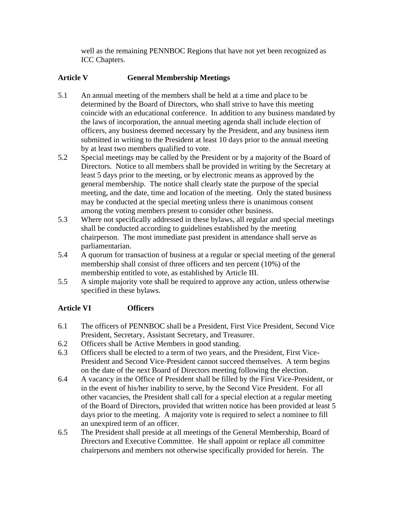well as the remaining PENNBOC Regions that have not yet been recognized as ICC Chapters.

## **Article V General Membership Meetings**

- 5.1 An annual meeting of the members shall be held at a time and place to be determined by the Board of Directors, who shall strive to have this meeting coincide with an educational conference. In addition to any business mandated by the laws of incorporation, the annual meeting agenda shall include election of officers, any business deemed necessary by the President, and any business item submitted in writing to the President at least 10 days prior to the annual meeting by at least two members qualified to vote.
- 5.2 Special meetings may be called by the President or by a majority of the Board of Directors. Notice to all members shall be provided in writing by the Secretary at least 5 days prior to the meeting, or by electronic means as approved by the general membership. The notice shall clearly state the purpose of the special meeting, and the date, time and location of the meeting. Only the stated business may be conducted at the special meeting unless there is unanimous consent among the voting members present to consider other business.
- 5.3 Where not specifically addressed in these bylaws, all regular and special meetings shall be conducted according to guidelines established by the meeting chairperson. The most immediate past president in attendance shall serve as parliamentarian.
- 5.4 A quorum for transaction of business at a regular or special meeting of the general membership shall consist of three officers and ten percent (10%) of the membership entitled to vote, as established by Article III.
- 5.5 A simple majority vote shall be required to approve any action, unless otherwise specified in these bylaws.

# **Article VI Officers**

- 6.1 The officers of PENNBOC shall be a President, First Vice President, Second Vice President, Secretary, Assistant Secretary, and Treasurer.
- 6.2 Officers shall be Active Members in good standing.
- 6.3 Officers shall be elected to a term of two years, and the President, First Vice-President and Second Vice-President cannot succeed themselves. A term begins on the date of the next Board of Directors meeting following the election.
- 6.4 A vacancy in the Office of President shall be filled by the First Vice-President, or in the event of his/her inability to serve, by the Second Vice President. For all other vacancies, the President shall call for a special election at a regular meeting of the Board of Directors, provided that written notice has been provided at least 5 days prior to the meeting. A majority vote is required to select a nominee to fill an unexpired term of an officer.
- 6.5 The President shall preside at all meetings of the General Membership, Board of Directors and Executive Committee. He shall appoint or replace all committee chairpersons and members not otherwise specifically provided for herein. The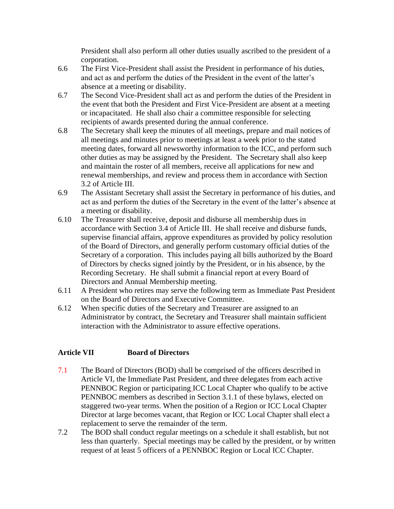President shall also perform all other duties usually ascribed to the president of a corporation.

- 6.6 The First Vice-President shall assist the President in performance of his duties, and act as and perform the duties of the President in the event of the latter's absence at a meeting or disability.
- 6.7 The Second Vice-President shall act as and perform the duties of the President in the event that both the President and First Vice-President are absent at a meeting or incapacitated. He shall also chair a committee responsible for selecting recipients of awards presented during the annual conference.
- 6.8 The Secretary shall keep the minutes of all meetings, prepare and mail notices of all meetings and minutes prior to meetings at least a week prior to the stated meeting dates, forward all newsworthy information to the ICC, and perform such other duties as may be assigned by the President. The Secretary shall also keep and maintain the roster of all members, receive all applications for new and renewal memberships, and review and process them in accordance with Section 3.2 of Article III.
- 6.9 The Assistant Secretary shall assist the Secretary in performance of his duties, and act as and perform the duties of the Secretary in the event of the latter's absence at a meeting or disability.
- 6.10 The Treasurer shall receive, deposit and disburse all membership dues in accordance with Section 3.4 of Article III. He shall receive and disburse funds, supervise financial affairs, approve expenditures as provided by policy resolution of the Board of Directors, and generally perform customary official duties of the Secretary of a corporation. This includes paying all bills authorized by the Board of Directors by checks signed jointly by the President, or in his absence, by the Recording Secretary. He shall submit a financial report at every Board of Directors and Annual Membership meeting.
- 6.11 A President who retires may serve the following term as Immediate Past President on the Board of Directors and Executive Committee.
- 6.12 When specific duties of the Secretary and Treasurer are assigned to an Administrator by contract, the Secretary and Treasurer shall maintain sufficient interaction with the Administrator to assure effective operations.

## **Article VII Board of Directors**

- 7.1 The Board of Directors (BOD) shall be comprised of the officers described in Article VI, the Immediate Past President, and three delegates from each active PENNBOC Region or participating ICC Local Chapter who qualify to be active PENNBOC members as described in Section 3.1.1 of these bylaws, elected on staggered two-year terms. When the position of a Region or ICC Local Chapter Director at large becomes vacant, that Region or ICC Local Chapter shall elect a replacement to serve the remainder of the term.
- 7.2 The BOD shall conduct regular meetings on a schedule it shall establish, but not less than quarterly. Special meetings may be called by the president, or by written request of at least 5 officers of a PENNBOC Region or Local ICC Chapter.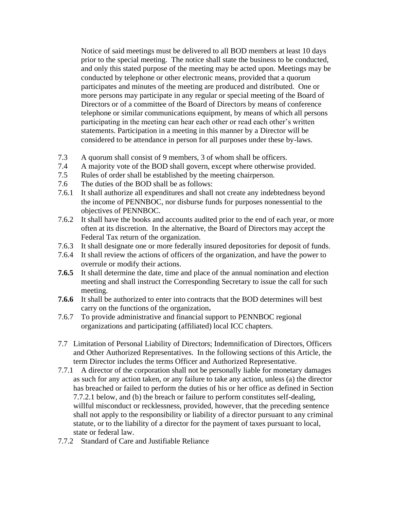Notice of said meetings must be delivered to all BOD members at least 10 days prior to the special meeting. The notice shall state the business to be conducted, and only this stated purpose of the meeting may be acted upon. Meetings may be conducted by telephone or other electronic means, provided that a quorum participates and minutes of the meeting are produced and distributed. One or more persons may participate in any regular or special meeting of the Board of Directors or of a committee of the Board of Directors by means of conference telephone or similar communications equipment, by means of which all persons participating in the meeting can hear each other or read each other's written statements. Participation in a meeting in this manner by a Director will be considered to be attendance in person for all purposes under these by-laws.

- 7.3 A quorum shall consist of 9 members, 3 of whom shall be officers.
- 7.4 A majority vote of the BOD shall govern, except where otherwise provided.
- 7.5 Rules of order shall be established by the meeting chairperson.
- 7.6 The duties of the BOD shall be as follows:
- 7.6.1 It shall authorize all expenditures and shall not create any indebtedness beyond the income of PENNBOC, nor disburse funds for purposes nonessential to the objectives of PENNBOC.
- 7.6.2 It shall have the books and accounts audited prior to the end of each year, or more often at its discretion. In the alternative, the Board of Directors may accept the Federal Tax return of the organization.
- 7.6.3 It shall designate one or more federally insured depositories for deposit of funds.
- 7.6.4 It shall review the actions of officers of the organization, and have the power to overrule or modify their actions.
- **7.6.5** It shall determine the date, time and place of the annual nomination and election meeting and shall instruct the Corresponding Secretary to issue the call for such meeting.
- **7.6.6** It shall be authorized to enter into contracts that the BOD determines will best carry on the functions of the organization**.**
- 7.6.7 To provide administrative and financial support to PENNBOC regional organizations and participating (affiliated) local ICC chapters.
- 7.7 Limitation of Personal Liability of Directors; Indemnification of Directors, Officers and Other Authorized Representatives. In the following sections of this Article, the term Director includes the terms Officer and Authorized Representative.
- 7.7.1 A director of the corporation shall not be personally liable for monetary damages as such for any action taken, or any failure to take any action, unless (a) the director has breached or failed to perform the duties of his or her office as defined in Section 7.7.2.1 below, and (b) the breach or failure to perform constitutes self-dealing, willful misconduct or recklessness, provided, however, that the preceding sentence shall not apply to the responsibility or liability of a director pursuant to any criminal statute, or to the liability of a director for the payment of taxes pursuant to local, state or federal law.
- 7.7.2 Standard of Care and Justifiable Reliance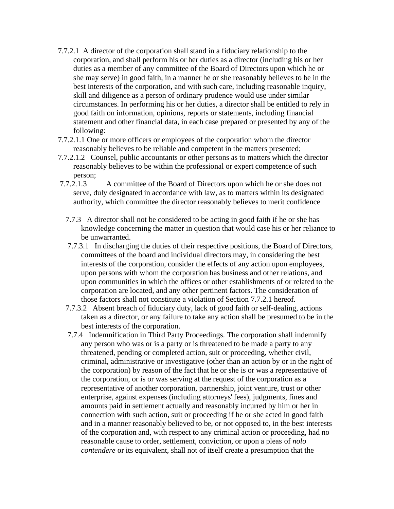- 7.7.2.1 A director of the corporation shall stand in a fiduciary relationship to the corporation, and shall perform his or her duties as a director (including his or her duties as a member of any committee of the Board of Directors upon which he or she may serve) in good faith, in a manner he or she reasonably believes to be in the best interests of the corporation, and with such care, including reasonable inquiry, skill and diligence as a person of ordinary prudence would use under similar circumstances. In performing his or her duties, a director shall be entitled to rely in good faith on information, opinions, reports or statements, including financial statement and other financial data, in each case prepared or presented by any of the following:
- 7.7.2.1.1 One or more officers or employees of the corporation whom the director reasonably believes to be reliable and competent in the matters presented;
- 7.7.2.1.2 Counsel, public accountants or other persons as to matters which the director reasonably believes to be within the professional or expert competence of such person;
- 7.7.2.1.3 A committee of the Board of Directors upon which he or she does not serve, duly designated in accordance with law, as to matters within its designated authority, which committee the director reasonably believes to merit confidence
	- 7.7.3 A director shall not be considered to be acting in good faith if he or she has knowledge concerning the matter in question that would case his or her reliance to be unwarranted.
	- 7.7.3.1 In discharging the duties of their respective positions, the Board of Directors, committees of the board and individual directors may, in considering the best interests of the corporation, consider the effects of any action upon employees, upon persons with whom the corporation has business and other relations, and upon communities in which the offices or other establishments of or related to the corporation are located, and any other pertinent factors. The consideration of those factors shall not constitute a violation of Section 7.7.2.1 hereof.
	- 7.7.3.2 Absent breach of fiduciary duty, lack of good faith or self-dealing, actions taken as a director, or any failure to take any action shall be presumed to be in the best interests of the corporation.
	- 7.7.4 Indemnification in Third Party Proceedings*.* The corporation shall indemnify any person who was or is a party or is threatened to be made a party to any threatened, pending or completed action, suit or proceeding, whether civil, criminal, administrative or investigative (other than an action by or in the right of the corporation) by reason of the fact that he or she is or was a representative of the corporation, or is or was serving at the request of the corporation as a representative of another corporation, partnership, joint venture, trust or other enterprise, against expenses (including attorneys' fees), judgments, fines and amounts paid in settlement actually and reasonably incurred by him or her in connection with such action, suit or proceeding if he or she acted in good faith and in a manner reasonably believed to be, or not opposed to, in the best interests of the corporation and, with respect to any criminal action or proceeding, had no reasonable cause to order, settlement, conviction, or upon a pleas of *nolo contendere* or its equivalent, shall not of itself create a presumption that the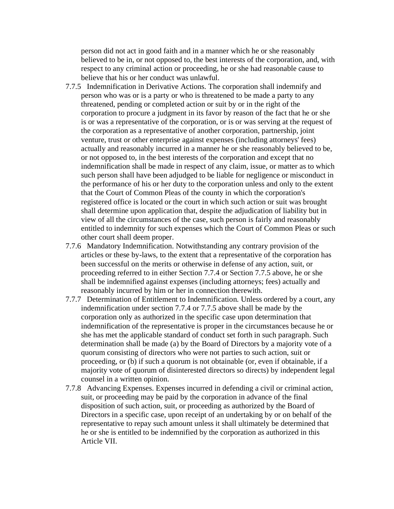person did not act in good faith and in a manner which he or she reasonably believed to be in, or not opposed to, the best interests of the corporation, and, with respect to any criminal action or proceeding, he or she had reasonable cause to believe that his or her conduct was unlawful.

- 7.7.5 Indemnification in Derivative Actions*.* The corporation shall indemnify and person who was or is a party or who is threatened to be made a party to any threatened, pending or completed action or suit by or in the right of the corporation to procure a judgment in its favor by reason of the fact that he or she is or was a representative of the corporation, or is or was serving at the request of the corporation as a representative of another corporation, partnership, joint venture, trust or other enterprise against expenses (including attorneys' fees) actually and reasonably incurred in a manner he or she reasonably believed to be, or not opposed to, in the best interests of the corporation and except that no indemnification shall be made in respect of any claim, issue, or matter as to which such person shall have been adjudged to be liable for negligence or misconduct in the performance of his or her duty to the corporation unless and only to the extent that the Court of Common Pleas of the county in which the corporation's registered office is located or the court in which such action or suit was brought shall determine upon application that, despite the adjudication of liability but in view of all the circumstances of the case, such person is fairly and reasonably entitled to indemnity for such expenses which the Court of Common Pleas or such other court shall deem proper.
- 7.7.6 Mandatory Indemnification. Notwithstanding any contrary provision of the articles or these by-laws, to the extent that a representative of the corporation has been successful on the merits or otherwise in defense of any action, suit, or proceeding referred to in either Section 7.7.4 or Section 7.7.5 above, he or she shall be indemnified against expenses (including attorneys; fees) actually and reasonably incurred by him or her in connection therewith.
- 7.7.7 Determination of Entitlement to Indemnification*.* Unless ordered by a court, any indemnification under section 7.7.4 or 7.7.5 above shall be made by the corporation only as authorized in the specific case upon determination that indemnification of the representative is proper in the circumstances because he or she has met the applicable standard of conduct set forth in such paragraph. Such determination shall be made (a) by the Board of Directors by a majority vote of a quorum consisting of directors who were not parties to such action, suit or proceeding, or (b) if such a quorum is not obtainable (or, even if obtainable, if a majority vote of quorum of disinterested directors so directs) by independent legal counsel in a written opinion.
- 7.7.8 Advancing Expenses. Expenses incurred in defending a civil or criminal action, suit, or proceeding may be paid by the corporation in advance of the final disposition of such action, suit, or proceeding as authorized by the Board of Directors in a specific case, upon receipt of an undertaking by or on behalf of the representative to repay such amount unless it shall ultimately be determined that he or she is entitled to be indemnified by the corporation as authorized in this Article VII.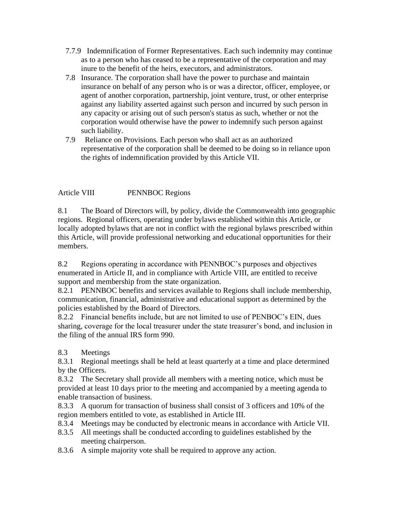- 7.7.9 Indemnification of Former Representatives. Each such indemnity may continue as to a person who has ceased to be a representative of the corporation and may inure to the benefit of the heirs, executors, and administrators.
- 7.8 Insurance*.* The corporation shall have the power to purchase and maintain insurance on behalf of any person who is or was a director, officer, employee, or agent of another corporation, partnership, joint venture, trust, or other enterprise against any liability asserted against such person and incurred by such person in any capacity or arising out of such person's status as such, whether or not the corporation would otherwise have the power to indemnify such person against such liability.
- 7.9 Reliance on Provisions. Each person who shall act as an authorized representative of the corporation shall be deemed to be doing so in reliance upon the rights of indemnification provided by this Article VII.

Article VIII PENNBOC Regions

8.1 The Board of Directors will, by policy, divide the Commonwealth into geographic regions. Regional officers, operating under bylaws established within this Article, or locally adopted bylaws that are not in conflict with the regional bylaws prescribed within this Article, will provide professional networking and educational opportunities for their members.

8.2 Regions operating in accordance with PENNBOC's purposes and objectives enumerated in Article II, and in compliance with Article VIII, are entitled to receive support and membership from the state organization.

8.2.1 PENNBOC benefits and services available to Regions shall include membership, communication, financial, administrative and educational support as determined by the policies established by the Board of Directors.

8.2.2 Financial benefits include, but are not limited to use of PENBOC's EIN, dues sharing, coverage for the local treasurer under the state treasurer's bond, and inclusion in the filing of the annual IRS form 990.

8.3 Meetings

8.3.1 Regional meetings shall be held at least quarterly at a time and place determined by the Officers.

8.3.2 The Secretary shall provide all members with a meeting notice, which must be provided at least 10 days prior to the meeting and accompanied by a meeting agenda to enable transaction of business.

8.3.3 A quorum for transaction of business shall consist of 3 officers and 10% of the region members entitled to vote, as established in Article III.

- 8.3.4 Meetings may be conducted by electronic means in accordance with Article VII.
- 8.3.5 All meetings shall be conducted according to guidelines established by the meeting chairperson.
- 8.3.6 A simple majority vote shall be required to approve any action.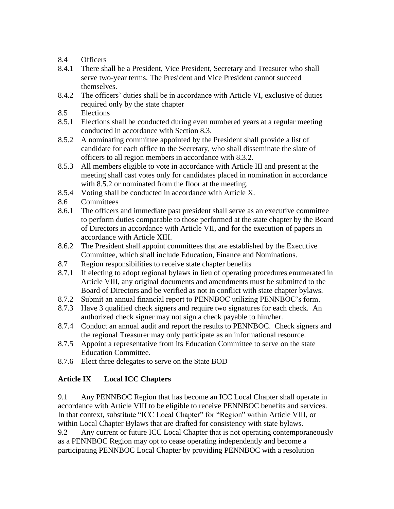- 8.4 Officers
- 8.4.1 There shall be a President, Vice President, Secretary and Treasurer who shall serve two-year terms. The President and Vice President cannot succeed themselves.
- 8.4.2 The officers' duties shall be in accordance with Article VI, exclusive of duties required only by the state chapter
- 8.5 Elections
- 8.5.1 Elections shall be conducted during even numbered years at a regular meeting conducted in accordance with Section 8.3.
- 8.5.2 A nominating committee appointed by the President shall provide a list of candidate for each office to the Secretary, who shall disseminate the slate of officers to all region members in accordance with 8.3.2.
- 8.5.3 All members eligible to vote in accordance with Article III and present at the meeting shall cast votes only for candidates placed in nomination in accordance with 8.5.2 or nominated from the floor at the meeting.
- 8.5.4 Voting shall be conducted in accordance with Article X.
- 8.6 Committees
- 8.6.1 The officers and immediate past president shall serve as an executive committee to perform duties comparable to those performed at the state chapter by the Board of Directors in accordance with Article VII, and for the execution of papers in accordance with Article XIII.
- 8.6.2 The President shall appoint committees that are established by the Executive Committee, which shall include Education, Finance and Nominations.
- 8.7 Region responsibilities to receive state chapter benefits
- 8.7.1 If electing to adopt regional bylaws in lieu of operating procedures enumerated in Article VIII, any original documents and amendments must be submitted to the Board of Directors and be verified as not in conflict with state chapter bylaws.
- 8.7.2 Submit an annual financial report to PENNBOC utilizing PENNBOC's form.
- 8.7.3 Have 3 qualified check signers and require two signatures for each check. An authorized check signer may not sign a check payable to him/her.
- 8.7.4 Conduct an annual audit and report the results to PENNBOC. Check signers and the regional Treasurer may only participate as an informational resource.
- 8.7.5 Appoint a representative from its Education Committee to serve on the state Education Committee.
- 8.7.6 Elect three delegates to serve on the State BOD

# **Article IX Local ICC Chapters**

9.1 Any PENNBOC Region that has become an ICC Local Chapter shall operate in accordance with Article VIII to be eligible to receive PENNBOC benefits and services. In that context, substitute "ICC Local Chapter" for "Region" within Article VIII, or within Local Chapter Bylaws that are drafted for consistency with state bylaws.

9.2 Any current or future ICC Local Chapter that is not operating contemporaneously as a PENNBOC Region may opt to cease operating independently and become a participating PENNBOC Local Chapter by providing PENNBOC with a resolution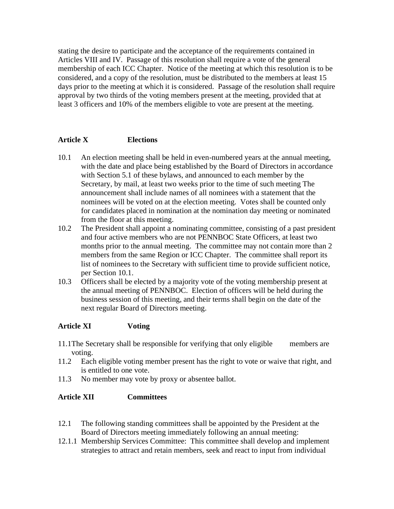stating the desire to participate and the acceptance of the requirements contained in Articles VIII and IV. Passage of this resolution shall require a vote of the general membership of each ICC Chapter. Notice of the meeting at which this resolution is to be considered, and a copy of the resolution, must be distributed to the members at least 15 days prior to the meeting at which it is considered. Passage of the resolution shall require approval by two thirds of the voting members present at the meeting, provided that at least 3 officers and 10% of the members eligible to vote are present at the meeting.

## **Article X Elections**

- 10.1 An election meeting shall be held in even-numbered years at the annual meeting, with the date and place being established by the Board of Directors in accordance with Section 5.1 of these bylaws, and announced to each member by the Secretary, by mail, at least two weeks prior to the time of such meeting The announcement shall include names of all nominees with a statement that the nominees will be voted on at the election meeting. Votes shall be counted only for candidates placed in nomination at the nomination day meeting or nominated from the floor at this meeting.
- 10.2 The President shall appoint a nominating committee, consisting of a past president and four active members who are not PENNBOC State Officers, at least two months prior to the annual meeting. The committee may not contain more than 2 members from the same Region or ICC Chapter. The committee shall report its list of nominees to the Secretary with sufficient time to provide sufficient notice, per Section 10.1.
- 10.3 Officers shall be elected by a majority vote of the voting membership present at the annual meeting of PENNBOC. Election of officers will be held during the business session of this meeting, and their terms shall begin on the date of the next regular Board of Directors meeting.

#### **Article XI Voting**

- 11.1The Secretary shall be responsible for verifying that only eligible members are voting.
- 11.2 Each eligible voting member present has the right to vote or waive that right, and is entitled to one vote.
- 11.3 No member may vote by proxy or absentee ballot.

#### **Article XII Committees**

- 12.1 The following standing committees shall be appointed by the President at the Board of Directors meeting immediately following an annual meeting:
- 12.1.1 Membership Services Committee: This committee shall develop and implement strategies to attract and retain members, seek and react to input from individual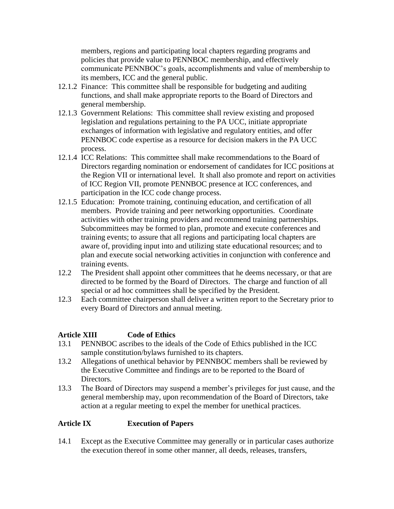members, regions and participating local chapters regarding programs and policies that provide value to PENNBOC membership, and effectively communicate PENNBOC's goals, accomplishments and value of membership to its members, ICC and the general public.

- 12.1.2 Finance: This committee shall be responsible for budgeting and auditing functions, and shall make appropriate reports to the Board of Directors and general membership.
- 12.1.3 Government Relations: This committee shall review existing and proposed legislation and regulations pertaining to the PA UCC, initiate appropriate exchanges of information with legislative and regulatory entities, and offer PENNBOC code expertise as a resource for decision makers in the PA UCC process.
- 12.1.4 ICC Relations: This committee shall make recommendations to the Board of Directors regarding nomination or endorsement of candidates for ICC positions at the Region VII or international level. It shall also promote and report on activities of ICC Region VII, promote PENNBOC presence at ICC conferences, and participation in the ICC code change process.
- 12.1.5 Education: Promote training, continuing education, and certification of all members. Provide training and peer networking opportunities. Coordinate activities with other training providers and recommend training partnerships. Subcommittees may be formed to plan, promote and execute conferences and training events; to assure that all regions and participating local chapters are aware of, providing input into and utilizing state educational resources; and to plan and execute social networking activities in conjunction with conference and training events.
- 12.2 The President shall appoint other committees that he deems necessary, or that are directed to be formed by the Board of Directors. The charge and function of all special or ad hoc committees shall be specified by the President.
- 12.3 Each committee chairperson shall deliver a written report to the Secretary prior to every Board of Directors and annual meeting.

## **Article XIII Code of Ethics**

- 13.1 PENNBOC ascribes to the ideals of the Code of Ethics published in the ICC sample constitution/bylaws furnished to its chapters.
- 13.2 Allegations of unethical behavior by PENNBOC members shall be reviewed by the Executive Committee and findings are to be reported to the Board of Directors.
- 13.3 The Board of Directors may suspend a member's privileges for just cause, and the general membership may, upon recommendation of the Board of Directors, take action at a regular meeting to expel the member for unethical practices.

## **Article IX Execution of Papers**

14.1 Except as the Executive Committee may generally or in particular cases authorize the execution thereof in some other manner, all deeds, releases, transfers,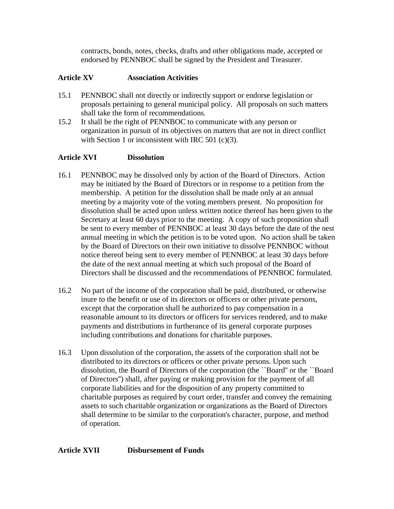contracts, bonds, notes, checks, drafts and other obligations made, accepted or endorsed by PENNBOC shall be signed by the President and Treasurer.

#### **Article XV Association Activities**

- 15.1 PENNBOC shall not directly or indirectly support or endorse legislation or proposals pertaining to general municipal policy. All proposals on such matters shall take the form of recommendations.
- 15.2 It shall be the right of PENNBOC to communicate with any person or organization in pursuit of its objectives on matters that are not in direct conflict with Section 1 or inconsistent with IRC 501 (c)(3).

#### **Article XVI Dissolution**

- 16.1 PENNBOC may be dissolved only by action of the Board of Directors. Action may be initiated by the Board of Directors or in response to a petition from the membership. A petition for the dissolution shall be made only at an annual meeting by a majority vote of the voting members present. No proposition for dissolution shall be acted upon unless written notice thereof has been given to the Secretary at least 60 days prior to the meeting. A copy of such proposition shall be sent to every member of PENNBOC at least 30 days before the date of the nest annual meeting in which the petition is to be voted upon. No action shall be taken by the Board of Directors on their own initiative to dissolve PENNBOC without notice thereof being sent to every member of PENNBOC at least 30 days before the date of the next annual meeting at which such proposal of the Board of Directors shall be discussed and the recommendations of PENNBOC formulated.
- 16.2 No part of the income of the corporation shall be paid, distributed, or otherwise inure to the benefit or use of its directors or officers or other private persons, except that the corporation shall be authorized to pay compensation in a reasonable amount to its directors or officers for services rendered, and to make payments and distributions in furtherance of its general corporate purposes including contributions and donations for charitable purposes.
- 16.3 Upon dissolution of the corporation, the assets of the corporation shall not be distributed to its directors or officers or other private persons. Upon such dissolution, the Board of Directors of the corporation (the ``Board'' or the ``Board of Directors'') shall, after paying or making provision for the payment of all corporate liabilities and for the disposition of any property committed to charitable purposes as required by court order, transfer and convey the remaining assets to such charitable organization or organizations as the Board of Directors shall determine to be similar to the corporation's character, purpose, and method of operation.

#### **Article XVII Disbursement of Funds**